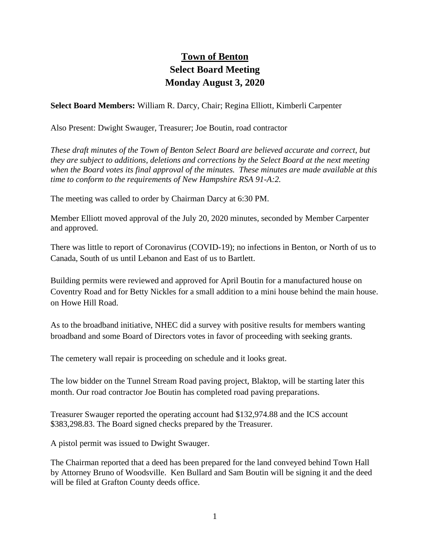## **Town of Benton Select Board Meeting Monday August 3, 2020**

**Select Board Members:** William R. Darcy, Chair; Regina Elliott, Kimberli Carpenter

Also Present: Dwight Swauger, Treasurer; Joe Boutin, road contractor

*These draft minutes of the Town of Benton Select Board are believed accurate and correct, but they are subject to additions, deletions and corrections by the Select Board at the next meeting when the Board votes its final approval of the minutes. These minutes are made available at this time to conform to the requirements of New Hampshire RSA 91-A:2.*

The meeting was called to order by Chairman Darcy at 6:30 PM.

Member Elliott moved approval of the July 20, 2020 minutes, seconded by Member Carpenter and approved.

There was little to report of Coronavirus (COVID-19); no infections in Benton, or North of us to Canada, South of us until Lebanon and East of us to Bartlett.

Building permits were reviewed and approved for April Boutin for a manufactured house on Coventry Road and for Betty Nickles for a small addition to a mini house behind the main house. on Howe Hill Road.

As to the broadband initiative, NHEC did a survey with positive results for members wanting broadband and some Board of Directors votes in favor of proceeding with seeking grants.

The cemetery wall repair is proceeding on schedule and it looks great.

The low bidder on the Tunnel Stream Road paving project, Blaktop, will be starting later this month. Our road contractor Joe Boutin has completed road paving preparations.

Treasurer Swauger reported the operating account had \$132,974.88 and the ICS account \$383,298.83. The Board signed checks prepared by the Treasurer.

A pistol permit was issued to Dwight Swauger.

The Chairman reported that a deed has been prepared for the land conveyed behind Town Hall by Attorney Bruno of Woodsville. Ken Bullard and Sam Boutin will be signing it and the deed will be filed at Grafton County deeds office.